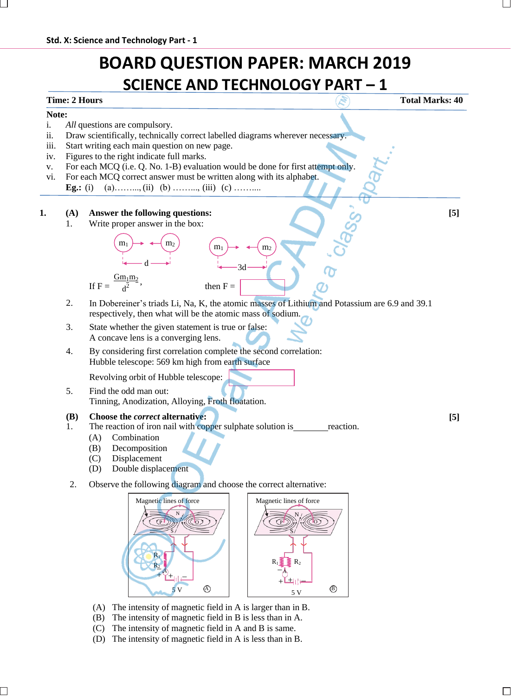# **BOARD QUESTION PAPER: MARCH 2019 SCIENCE AND TECHNOLOGY PART – 1**

## **Time: 2 Hours The Contract of Contract of Contract of Contract of Contract of Contract of Contract of Contract of Contract of Contract of Contract of Contract of Contract of Contract of Contract of Contract of Contract**

### **Note:**

- i. *All* questions are compulsory.
- ii. Draw scientifically, technically correct labelled diagrams wherever necessary.
- iii. Start writing each main question on new page.
- iv. Figures to the right indicate full marks.
- v. For each MCQ (i.e. Q. No. 1-B) evaluation would be done for first attempt only.
- vi. For each MCQ correct answer must be written along with its alphabet. **Eg.:** (i) (a)……….., (ii) (b) ……….., (iii) (c) ………..

### **1. (A) Answer the following questions: [5]**

1. Write proper answer in the box:



2. In Dobereiner's triads Li, Na, K, the atomic masses of Lithium and Potassium are 6.9 and 39.1 respectively, then what will be the atomic mass of sodium.

**[5]**

- 3. State whether the given statement is true or false: A concave lens is a converging lens.
- 4. By considering first correlation complete the second correlation: Hubble telescope: 569 km high from earth surface

Revolving orbit of Hubble telescope:

5. Find the odd man out: Tinning, Anodization, Alloying, Froth floatation.

#### **(B) Choose the** *correct* **alternative:**

- 1. The reaction of iron nail with copper sulphate solution is reaction.
	- (A) Combination
	- (B) Decomposition
	- (C) Displacement
	- (D) Double displacement
- 2. Observe the following diagram and choose the correct alternative:



- (A) The intensity of magnetic field in A is larger than in B.
- (B) The intensity of magnetic field in B is less than in A.
- (C) The intensity of magnetic field in A and B is same.
- (D) The intensity of magnetic field in A is less than in B.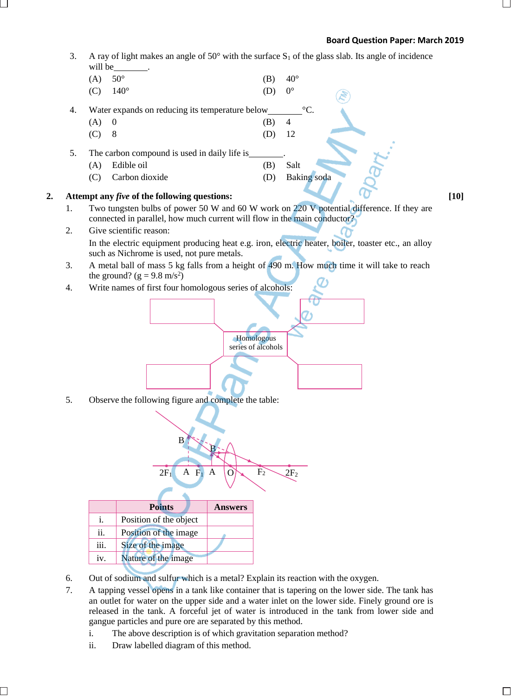### **Board Question Paper: March 2019**

- Homologous series of alcohols 3. A ray of light makes an angle of  $50^{\circ}$  with the surface  $S_1$  of the glass slab. Its angle of incidence will be (A)  $50^{\circ}$  (B)  $40^{\circ}$ (C)  $140^{\circ}$  (D)  $0^{\circ}$ 4. Water expands on reducing its temperature below  $\degree$ C.  $(A)$  0 (B) 4 (C) 8 (D) 12 5. The carbon compound is used in daily life is . (A) Edible oil (B) Salt (C) Carbon dioxide (D) Baking soda 2. **Attempt** any *five* of the following questions: [10] 1. Two tungsten bulbs of power 50 W and 60 W work on 220 V potential difference. If they are connected in parallel, how much current will flow in the main conductor? 2. Give scientific reason: In the electric equipment producing heat e.g. iron, electric heater, boiler, toaster etc., an alloy such as Nichrome is used, not pure metals. 3. A metal ball of mass 5 kg falls from a height of 490 m. How much time it will take to reach the ground?  $(g = 9.8 \text{ m/s}^2)$ 4. Write names of first four homologous series of alcohols: 5. Observe the following figure and complete the table: **Points Answers** i. Position of the object ii. Position of the image iii. Size of the image iv. Nature of the image B B  $2F_1$  A  $F_1$  A  $\overline{O}$   $F_2$   $2F_2$ 
	- 6. Out of sodium and sulfur which is a metal? Explain its reaction with the oxygen.
	- 7. A tapping vessel opens in a tank like container that is tapering on the lower side. The tank has an outlet for water on the upper side and a water inlet on the lower side. Finely ground ore is released in the tank. A forceful jet of water is introduced in the tank from lower side and gangue particles and pure ore are separated by this method.
		- i. The above description is of which gravitation separation method?
		- ii. Draw labelled diagram of this method.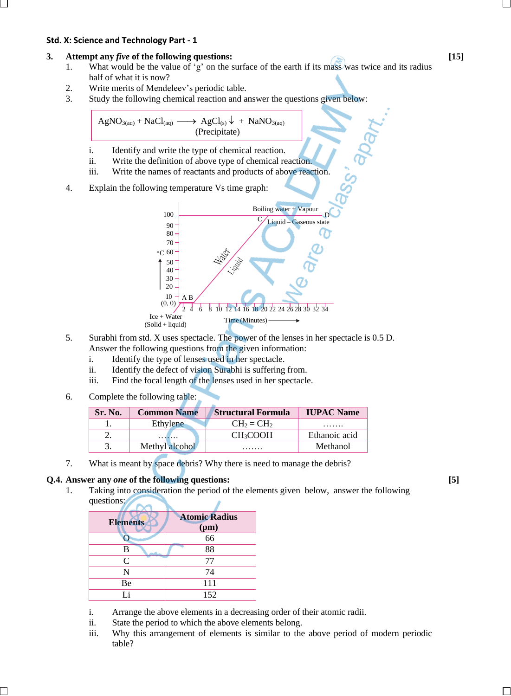### **Std. X: Science and Technology Part - 1**

## **3. Attempt any** *five* **of the following questions: [15]**

- 1. What would be the value of 'g' on the surface of the earth if its mass was twice and its radius half of what it is now?
- 2. Write merits of Mendeleev's periodic table.
- 3. Study the following chemical reaction and answer the questions given below:

 $AgNO_{3(aq)} + NaCl_{(aq)} \longrightarrow AgCl_{(s)} \downarrow + NaNO_{3(aq)}$ (Precipitate)

- i. Identify and write the type of chemical reaction.
- ii. Write the definition of above type of chemical reaction.
- iii. Write the names of reactants and products of above reaction.
- 4. Explain the following temperature Vs time graph:



- 5. Surabhi from std. X uses spectacle. The power of the lenses in her spectacle is 0.5 D. Answer the following questions from the given information:
	- i. Identify the type of lenses used in her spectacle.
	- ii. Identify the defect of vision Surabhi is suffering from.
	- iii. Find the focal length of the lenses used in her spectacle.
- 6. Complete the following table:

| Sr. No. | <b>Common Name</b> | <b>Structural Formula</b> | <b>IUPAC Name</b> |
|---------|--------------------|---------------------------|-------------------|
|         | Ethylene           | $CH2 = CH2$               | .                 |
|         | .                  | <b>CH<sub>3</sub>COOH</b> | Ethanoic acid     |
|         | Methyl alcohol     | .                         | Methanol          |

7. What is meant by space debris? Why there is need to manage the debris?

### **Q.4. Answer any** *one* **of the following questions: [5]**

1. Taking into consideration the period of the elements given below, answer the following questions:

| <b>Elements</b> | <b>Atomic Radius</b><br>(pm) |  |
|-----------------|------------------------------|--|
|                 | $\overline{66}$              |  |
| B               | 88                           |  |
| C               | 77                           |  |
| N               | 74                           |  |
| Be              | 111                          |  |
| Li              | 152                          |  |

- i. Arrange the above elements in a decreasing order of their atomic radii.
- ii. State the period to which the above elements belong.
- iii. Why this arrangement of elements is similar to the above period of modern periodic table?